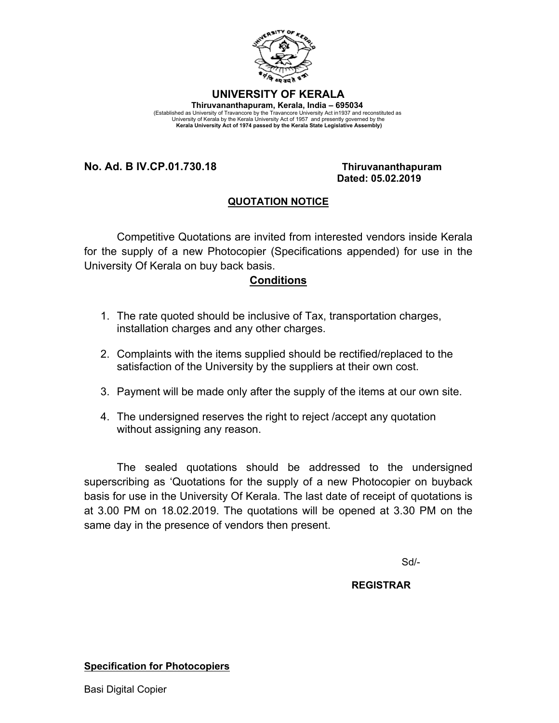

## **UNIVERSITY OF KERALA**

**Thiruvananthapuram, Kerala, India – 695034**  (Established as University of Travancore by the Travancore University Act in1937 and reconstituted as<br>University of Kerala by the Kerala University Act of 1957 and presently governed by the<br>Kerala University Act of 1974 pa

### **No. Ad. B IV.CP.01.730.18 Thiruvananthapuram**

# **Dated: 05.02.2019**

## **QUOTATION NOTICE**

Competitive Quotations are invited from interested vendors inside Kerala for the supply of a new Photocopier (Specifications appended) for use in the University Of Kerala on buy back basis.

### **Conditions**

- 1. The rate quoted should be inclusive of Tax, transportation charges, installation charges and any other charges.
- 2. Complaints with the items supplied should be rectified/replaced to the satisfaction of the University by the suppliers at their own cost.
- 3. Payment will be made only after the supply of the items at our own site.
- 4. The undersigned reserves the right to reject /accept any quotation without assigning any reason.

The sealed quotations should be addressed to the undersigned superscribing as 'Quotations for the supply of a new Photocopier on buyback basis for use in the University Of Kerala. The last date of receipt of quotations is at 3.00 PM on 18.02.2019. The quotations will be opened at 3.30 PM on the same day in the presence of vendors then present.

Sd/-

#### **REGISTRAR**

#### **Specification for Photocopiers**

Basi Digital Copier